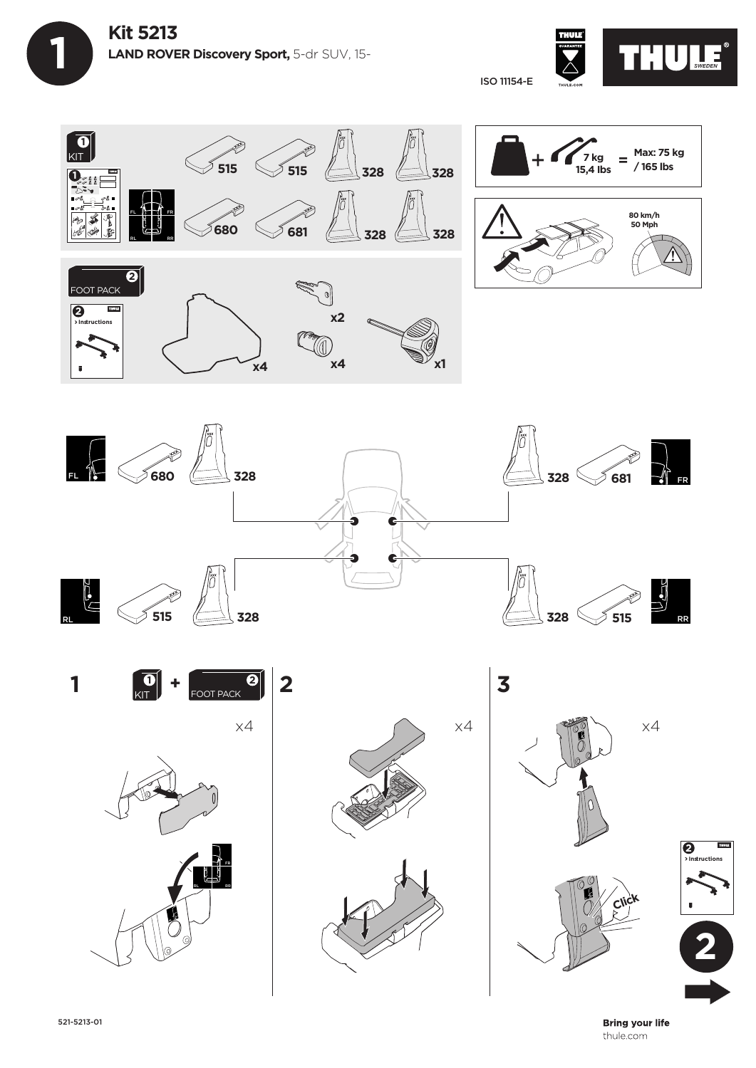**1**



**80 km/h 50 Mph**

**Max: 75 kg / 165 lbs**

ISO 11154-E



**x4**

 $x4$   $x4$   $x1$ 















**Instructions 2**

**Bring your life** thule.com